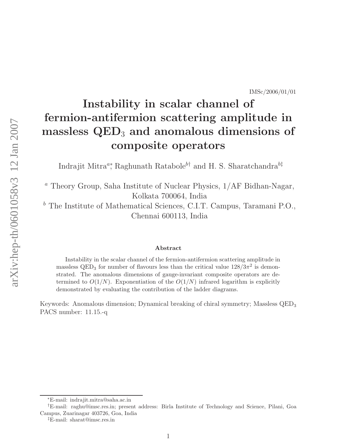## Instability in scalar channel of fermion-antifermion scattering amplitude in massless  $\rm QED_{3}$  and anomalous dimensions of composite operators

Indrajit Mitra<sup>a\*</sup>, Raghunath Ratabole<sup>b†</sup> and H. S. Sharatchandra<sup>b‡</sup>

 $a$  Theory Group, Saha Institute of Nuclear Physics,  $1/AF$  Bidhan-Nagar, Kolkata 700064, India

 $^b$  The Institute of Mathematical Sciences, C.I.T. Campus, Taramani P.O., Chennai 600113, India

## Abstract

Instability in the scalar channel of the fermion-antifermion scattering amplitude in massless QED<sub>3</sub> for number of flavours less than the critical value  $128/3\pi^2$  is demonstrated. The anomalous dimensions of gauge-invariant composite operators are determined to  $O(1/N)$ . Exponentiation of the  $O(1/N)$  infrared logarithm is explicitly demonstrated by evaluating the contribution of the ladder diagrams.

Keywords: Anomalous dimension; Dynamical breaking of chiral symmetry; Massless QED 3 PACS number: 11.15.-q

<sup>∗</sup>E-mail: indrajit.mitra@saha.ac.in

<sup>†</sup>E-mail: raghu@imsc.res.in; present address: Birla Institute of Technology and Science, Pilani, Goa Campus, Zuarinagar 403726, Goa, India

<sup>‡</sup>E-mail: sharat@imsc.res.in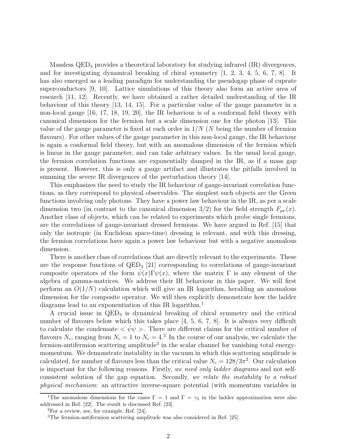Massless  $QED_3$  provides a theoretical laboratory for studying infrared  $(IR)$  divergences, and for investigating dynamical breaking of chiral symmetry [1, 2, 3, 4, 5, 6, 7, 8]. It has also emerged as a leading paradigm for understanding the pseudogap phase of cuprate superconductors [9, 10]. Lattice simulations of this theory also form an active area of research [11, 12]. Recently, we have obtained a rather detailed understanding of the IR behaviour of this theory [13, 14, 15]. For a particular value of the gauge parameter in a non-local gauge [16, 17, 18, 19, 20], the IR behaviour is of a conformal field theory with canonical dimension for the fermion but a scale dimension one for the photon [13]. This value of the gauge parameter is fixed at each order in  $1/N$  (N being the number of fermion flavours). For other values of the gauge parameter in this non-local gauge, the IR behaviour is again a conformal field theory, but with an anomalous dimension of the fermion which is linear in the gauge parameter, and can take arbitrary values. In the usual local gauge, the fermion correlation functions are exponentially damped in the IR, as if a mass gap is present. However, this is only a gauge artifact and illustrates the pitfalls involved in summing the severe IR divergences of the perturbation theory [14].

This emphasizes the need to study the IR behaviour of gauge-invariant correlation functions, as they correspond to physical observables. The simplest such objects are the Green functions involving only photons. They have a power law behaviour in the IR, as per a scale dimension two (in contrast to the canonical dimension 3/2) for the field strength  $F_{\mu\nu}(x)$ . Another class of objects, which can be related to experiments which probe single fermions, are the correlations of gauge-invariant dressed fermions. We have argued in Ref. [15] that only the isotropic (in Euclidean space-time) dressing is relevant, and with this dressing, the fermion correlations have again a power law behaviour but with a negative anomalous dimension.

There is another class of correlations that are directly relevant to the experiments. These are the response functions of  $QED<sub>3</sub>$  [21] corresponding to correlations of gauge-invariant composite operators of the form  $\psi(x)\Gamma\psi(x)$ , where the matrix Γ is any element of the algebra of gamma-matrices. We address their IR behaviour in this paper. We will first perform an  $O(1/N)$  calculation which will give an IR logarithm, heralding an anomalous dimension for the composite operator. We will then explicitly demonstrate how the ladder diagrams lead to an exponentiation of this IR logarithm.<sup>1</sup>

A crucial issue in  $QED<sub>3</sub>$  is dynamical breaking of chiral symmetry and the critical number of flavours below which this takes place [4, 5, 6, 7, 8]. It is always very difficult to calculate the condensate  $\langle \bar{\psi}\psi \rangle$ . There are different claims for the critical number of flavours  $N_c$ , ranging from  $N_c = 1$  to  $N_c = 4$ .<sup>2</sup> In the course of our analysis, we calculate the fermion-antifermion scattering amplitude<sup>3</sup> in the scalar channel for vanishing total energymomentum. We demonstrate instability in the vacuum in which this scattering amplitude is calculated, for number of flavours less than the critical value  $N_c = 128/3\pi^2$ . Our calculation is important for the following reasons. Firstly, we need only ladder diagrams and not selfconsistent solution of the gap equation. Secondly, we relate the instability to a robust physical mechanism: an attractive inverse-square potential (with momentum variables in

<sup>&</sup>lt;sup>1</sup>The anomalous dimensions for the cases  $\Gamma = 1$  and  $\Gamma = \gamma_5$  in the ladder approximation were also addressed in Ref. [22]. The result is discussed Ref. [23].

 ${}^{2}$ For a review, see, for example, Ref. [24].

<sup>&</sup>lt;sup>3</sup>The fermion-antifermion scattering amplitude was also considered in Ref. [25].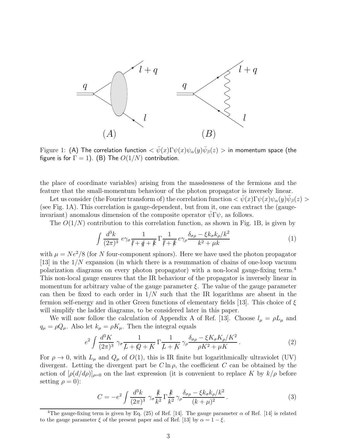

Figure 1: (A) The correlation function  $<\bar{\psi}(x)\Gamma\psi(x)\psi_\alpha(y)\bar{\psi}_\beta(z) >$  in momentum space (the figure is for  $\Gamma = 1$ ). (B) The  $O(1/N)$  contribution.

the place of coordinate variables) arising from the masslessness of the fermions and the feature that the small-momentum behaviour of the photon propagator is inversely linear.

Let us consider (the Fourier transform of) the correlation function  $\langle \psi(x)\Gamma\psi(x)\psi_\alpha(y)\bar\psi_\beta(z)\rangle$ (see Fig. 1A). This correlation is gauge-dependent, but from it, one can extract the (gaugeinvariant) anomalous dimension of the composite operator  $\psi \Gamma \psi$ , as follows.

The  $O(1/N)$  contribution to this correlation function, as shown in Fig. 1B, is given by

$$
\int \frac{d^3k}{(2\pi)^3} \ e\gamma_\sigma \frac{1}{\n{\psi} + \n{\psi} + \n{\psi}} \Gamma \frac{1}{\n{\psi} + \n{\psi}} \ e\gamma_\rho \frac{\delta_{\sigma\rho} - \xi k_\sigma k_\rho / k^2}{k^2 + \mu k} \tag{1}
$$

with  $\mu = Ne^2/8$  (for N four-component spinors). Here we have used the photon propagator [13] in the 1/N expansion (in which there is a resummation of chains of one-loop vacuum polarization diagrams on every photon propagator) with a non-local gauge-fixing term.<sup>4</sup> This non-local gauge ensures that the IR behaviour of the propagator is inversely linear in momentum for arbitrary value of the gauge parameter  $\xi$ . The value of the gauge parameter can then be fixed to each order in  $1/N$  such that the IR logarithms are absent in the fermion self-energy and in other Green functions of elementary fields [13]. This choice of  $\xi$ will simplify the ladder diagrams, to be considered later in this paper.

We will now follow the calculation of Appendix A of Ref. [13]. Choose  $l_{\mu} = \rho L_{\mu}$  and  $q_{\mu} = \rho Q_{\mu}$ . Also let  $k_{\mu} = \rho K_{\mu}$ . Then the integral equals

$$
e^2 \int \frac{d^3 K}{(2\pi)^3} \gamma_\sigma \frac{1}{L + \mathcal{Q} + K} \Gamma \frac{1}{L + K} \gamma_\rho \frac{\delta_{\sigma\rho} - \xi K_\sigma K_\rho / K^2}{\rho K^2 + \mu K}.
$$
 (2)

For  $\rho \to 0$ , with  $L_{\mu}$  and  $Q_{\mu}$  of  $O(1)$ , this is IR finite but logarithmically ultraviolet (UV) divergent. Letting the divergent part be  $C \ln \rho$ , the coefficient C can be obtained by the action of  $[\rho(d/d\rho)]_{\rho=0}$  on the last expression (it is convenient to replace K by  $k/\rho$  before setting  $\rho = 0$ :

$$
C = -e^2 \int \frac{d^3k}{(2\pi)^3} \ \gamma_\sigma \frac{k}{k^2} \Gamma \frac{k}{k^2} \gamma_\rho \frac{\delta_{\sigma\rho} - \xi k_\sigma k_\rho / k^2}{(k+\mu)^2} \,. \tag{3}
$$

<sup>&</sup>lt;sup>4</sup>The gauge-fixing term is given by Eq. (25) of Ref. [14]. The gauge parameter  $\alpha$  of Ref. [14] is related to the gauge parameter  $\xi$  of the present paper and of Ref. [13] by  $\alpha = 1 - \xi$ .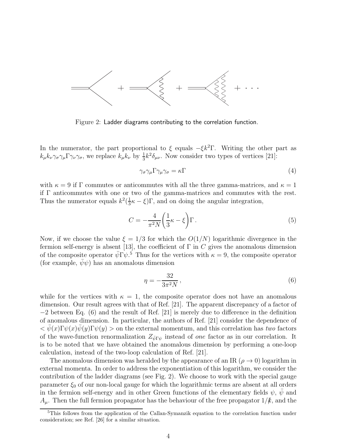

Figure 2: Ladder diagrams contributing to the correlation function.

In the numerator, the part proportional to  $\xi$  equals  $-\xi k^2\Gamma$ . Writing the other part as  $k_{\mu}k_{\nu}\gamma_{\sigma}\gamma_{\mu}\Gamma\gamma_{\nu}\gamma_{\sigma}$ , we replace  $k_{\mu}k_{\nu}$  by  $\frac{1}{3}k^2\delta_{\mu\nu}$ . Now consider two types of vertices [21]:

$$
\gamma_{\sigma}\gamma_{\mu}\Gamma\gamma_{\mu}\gamma_{\sigma} = \kappa\Gamma\tag{4}
$$

with  $\kappa = 9$  if  $\Gamma$  commutes or anticommutes with all the three gamma-matrices, and  $\kappa = 1$ if Γ anticommutes with one or two of the gamma-matrices and commutes with the rest. Thus the numerator equals  $k^2(\frac{1}{3})$  $\frac{1}{3}\kappa - \xi$ ) Γ, and on doing the angular integration,

$$
C = -\frac{4}{\pi^2 N} \left( \frac{1}{3} \kappa - \xi \right) \Gamma \,. \tag{5}
$$

Now, if we choose the value  $\xi = 1/3$  for which the  $O(1/N)$  logarithmic divergence in the fermion self-energy is absent [13], the coefficient of  $\Gamma$  in C gives the anomalous dimension of the composite operator  $\bar{\psi} \Gamma \psi$ .<sup>5</sup> Thus for the vertices with  $\kappa = 9$ , the composite operator (for example,  $\psi \psi$ ) has an anomalous dimension

$$
\eta = -\frac{32}{3\pi^2 N},\tag{6}
$$

while for the vertices with  $\kappa = 1$ , the composite operator does not have an anomalous dimension. Our result agrees with that of Ref. [21]. The apparent discrepancy of a factor of −2 between Eq. (6) and the result of Ref. [21] is merely due to difference in the definition of anomalous dimension. In particular, the authors of Ref. [21] consider the dependence of  $\langle \psi(x) \Gamma \psi(x) \psi(y) \Gamma \psi(y) \rangle$  on the external momentum, and this correlation has two factors of the wave-function renormalization  $Z_{\bar{\psi}\Gamma\psi}$  instead of *one* factor as in our correlation. It is to be noted that we have obtained the anomalous dimension by performing a one-loop calculation, instead of the two-loop calculation of Ref. [21].

The anomalous dimension was heralded by the appearance of an IR ( $\rho \rightarrow 0$ ) logarithm in external momenta. In order to address the exponentiation of this logarithm, we consider the contribution of the ladder diagrams (see Fig. 2). We choose to work with the special gauge parameter  $\xi_0$  of our non-local gauge for which the logarithmic terms are absent at all orders in the fermion self-energy and in other Green functions of the elementary fields  $\psi$ ,  $\bar{\psi}$  and  $A_{\mu}$ . Then the full fermion propagator has the behaviour of the free propagator  $1/k$ , and the

<sup>5</sup>This follows from the application of the Callan-Symanzik equation to the correlation function under consideration; see Ref. [26] for a similar situation.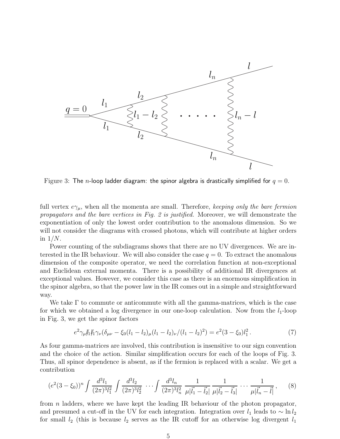

Figure 3: The n-loop ladder diagram: the spinor algebra is drastically simplified for  $q=0$ .

full vertex  $e\gamma_\mu$ , when all the momenta are small. Therefore, keeping only the bare fermion propagators and the bare vertices in Fig. 2 is justified. Moreover, we will demonstrate the exponentiation of only the lowest order contribution to the anomalous dimension. So we will not consider the diagrams with crossed photons, which will contribute at higher orders in  $1/N$ .

Power counting of the subdiagrams shows that there are no UV divergences. We are interested in the IR behaviour. We will also consider the case  $q = 0$ . To extract the anomalous dimension of the composite operator, we need the correlation function at non-exceptional and Euclidean external momenta. There is a possibility of additional IR divergences at exceptional values. However, we consider this case as there is an enormous simplification in the spinor algebra, so that the power law in the IR comes out in a simple and straightforward way.

We take  $\Gamma$  to commute or anticommute with all the gamma-matrices, which is the case for which we obtained a log divergence in our one-loop calculation. Now from the  $l_1$ -loop in Fig. 3, we get the spinor factors

$$
e^2 \gamma_\mu J_1 J_1 \gamma_\nu (\delta_{\mu\nu} - \xi_0 (l_1 - l_2)_\mu (l_1 - l_2)_\nu / (l_1 - l_2)^2) = e^2 (3 - \xi_0) l_1^2. \tag{7}
$$

As four gamma-matrices are involved, this contribution is insensitive to our sign convention and the choice of the action. Similar simplification occurs for each of the loops of Fig. 3. Thus, all spinor dependence is absent, as if the fermion is replaced with a scalar. We get a contribution

$$
(e^{2}(3-\xi_{0}))^{n} \int \frac{d^{3}l_{1}}{(2\pi)^{3}l_{1}^{2}} \int \frac{d^{3}l_{2}}{(2\pi)^{3}l_{2}^{2}} \cdots \int \frac{d^{3}l_{n}}{(2\pi)^{3}l_{n}^{2}} \frac{1}{\mu|\vec{l}_{1}-\vec{l}_{2}|} \frac{1}{\mu|\vec{l}_{2}-\vec{l}_{3}|} \cdots \frac{1}{\mu|\vec{l}_{n}-\vec{l}|}, \qquad (8)
$$

from n ladders, where we have kept the leading IR behaviour of the photon propagator, and presumed a cut-off in the UV for each integration. Integration over  $l_1$  leads to  $\sim \ln l_2$ for small  $l_2$  (this is because  $l_2$  serves as the IR cutoff for an otherwise log divergent  $l_1$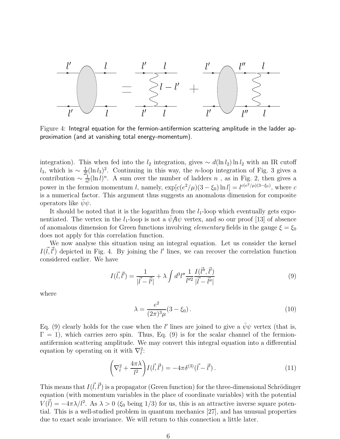

Figure 4: Integral equation for the fermion-antifermion scattering amplitude in the ladder approximation (and at vanishing total energy-momentum).

integration). This when fed into the  $l_2$  integration, gives  $\sim d(\ln l_2) \ln l_2$  with an IR cutoff l<sub>3</sub>, which is ~  $\frac{1}{2!}(\ln l_3)^2$ . Continuing in this way, the n-loop integration of Fig. 3 gives a contribution  $\sim \frac{1}{n}$  $\frac{1}{n!}(\ln l)^n$ . A sum over the number of ladders n, as in Fig. 2, then gives a power in the fermion momentum l, namely,  $\exp[c(e^2/\mu)(3-\xi_0)\ln l] = l^{c(e^2/\mu)(3-\xi_0)}$ , where c is a numerical factor. This argument thus suggests an anomalous dimension for composite operators like  $\psi \psi$ .

It should be noted that it is the logarithm from the  $l_1$ -loop which eventually gets exponentiated. The vertex in the  $l_1$ -loop is not a  $\psi A \psi$  vertex, and so our proof [13] of absence of anomalous dimension for Green functions involving *elementary* fields in the gauge  $\xi = \xi_0$ does not apply for this correlation function.

We now analyse this situation using an integral equation. Let us consider the kernel  $I(\vec{l}, \vec{l}')$  depicted in Fig. 4. By joining the l' lines, we can recover the correlation function considered earlier. We have

$$
I(\vec{l}, \vec{l}') = \frac{1}{|\vec{l} - \vec{l}'|} + \lambda \int d^3 l'' \frac{1}{l''^2} \frac{I(\vec{l}'', \vec{l}')}{|\vec{l} - \vec{l}''|}
$$
(9)

where

$$
\lambda = \frac{e^2}{(2\pi)^3 \mu} (3 - \xi_0).
$$
 (10)

Eq. (9) clearly holds for the case when the l' lines are joined to give a  $\bar{\psi}\psi$  vertex (that is,  $\Gamma = 1$ ), which carries zero spin. Thus, Eq. (9) is for the scalar channel of the fermionantifermion scattering amplitude. We may convert this integral equation into a differential equation by operating on it with  $\nabla_i^2$ :

$$
\left(\nabla_l^2 + \frac{4\pi\lambda}{l^2}\right)I(\vec{l}, \vec{l}') = -4\pi\delta^{(3)}(\vec{l} - \vec{l}').\tag{11}
$$

This means that  $I(\vec{l}, \vec{l}')$  is a propagator (Green function) for the three-dimensional Schrödinger equation (with momentum variables in the place of coordinate variables) with the potential  $V(\vec{l}) = -4\pi\lambda/l^2$ . As  $\lambda > 0$  ( $\xi_0$  being 1/3) for us, this is an attractive inverse square potential. This is a well-studied problem in quantum mechanics [27], and has unusual properties due to exact scale invariance. We will return to this connection a little later.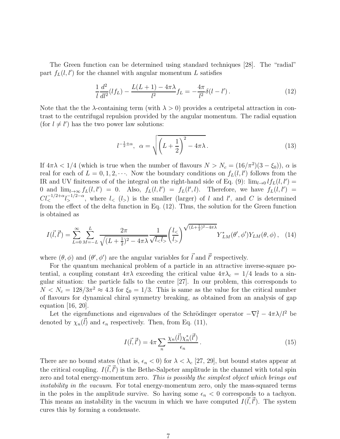The Green function can be determined using standard techniques [28]. The "radial" part  $f_L(l, l')$  for the channel with angular momentum L satisfies

$$
\frac{1}{l}\frac{d^2}{dl^2}(lf_L) - \frac{L(L+1) - 4\pi\lambda}{l^2}f_L = -\frac{4\pi}{l^2}\delta(l-l').
$$
\n(12)

Note that the the  $\lambda$ -containing term (with  $\lambda > 0$ ) provides a centripetal attraction in contrast to the centrifugal repulsion provided by the angular momentum. The radial equation (for  $l \neq l'$ ) has the two power law solutions:

$$
l^{-\frac{1}{2}\pm\alpha}, \ \alpha = \sqrt{\left(L + \frac{1}{2}\right)^2 - 4\pi\lambda}.
$$
 (13)

If  $4\pi\lambda < 1/4$  (which is true when the number of flavours  $N > N_c = (16/\pi^2)(3 - \xi_0)$ ),  $\alpha$  is real for each of  $L = 0, 1, 2, \cdots$ . Now the boundary conditions on  $f_L(l, l')$  follows from the IR and UV finiteness of of the integral on the right-hand side of Eq. (9):  $\lim_{l\to 0} l f_L(l, l') =$ 0 and  $\lim_{l\to\infty} f_L(l, l') = 0$ . Also,  $f_L(l, l') = f_L(l', l)$ . Therefore, we have  $f_L(l, l') =$  $Cl_{<}^{-1/2+\alpha} l_{>}^{-1/2-\alpha}$ , where  $l_{<} (l_{>} )$  is the smaller (larger) of l and l', and C is determined from the effect of the delta function in Eq. (12). Thus, the solution for the Green function is obtained as

$$
I(\vec{l}, \vec{l}') = \sum_{L=0}^{\infty} \sum_{M=-L}^{L} \frac{2\pi}{\sqrt{(L+\frac{1}{2})^2 - 4\pi\lambda}} \frac{1}{\sqrt{l_{\leq l_{>}}}} \left(\frac{l_{\leq}}{l_{>}}\right)^{\sqrt{(L+\frac{1}{2})^2 - 4\pi\lambda}} Y_{LM}^*(\theta', \phi') Y_{LM}(\theta, \phi), \quad (14)
$$

where  $(\theta, \phi)$  and  $(\theta', \phi')$  are the angular variables for  $\vec{l}$  and  $\vec{l}'$  respectively.

For the quantum mechanical problem of a particle in an attractive inverse-square potential, a coupling constant  $4\pi\lambda$  exceeding the critical value  $4\pi\lambda_c = 1/4$  leads to a singular situation: the particle falls to the centre [27]. In our problem, this corresponds to  $N < N_c = 128/3\pi^2 \approx 4.3$  for  $\xi_0 = 1/3$ . This is same as the value for the critical number of flavours for dynamical chiral symmetry breaking, as obtained from an analysis of gap equation [16, 20].

Let the eigenfunctions and eigenvalues of the Schrödinger operator  $-\nabla_l^2 - 4\pi\lambda/l^2$  be denoted by  $\chi_n(\vec{l})$  and  $\epsilon_n$  respectively. Then, from Eq. (11),

$$
I(\vec{l}, \vec{l}') = 4\pi \sum_{n} \frac{\chi_n(\vec{l}) \chi_n^*(\vec{l}')}{\epsilon_n} \,. \tag{15}
$$

There are no bound states (that is,  $\epsilon_n < 0$ ) for  $\lambda < \lambda_c$  [27, 29], but bound states appear at the critical coupling.  $I(\vec{l}, \vec{l}')$  is the Bethe-Salpeter amplitude in the channel with total spin zero and total energy-momentum zero. This is possibly the simplest object which brings out instability in the vacuum. For total energy-momentum zero, only the mass-squared terms in the poles in the amplitude survive. So having some  $\epsilon_n < 0$  corresponds to a tachyon. This means an instability in the vacuum in which we have computed  $I(\vec{l}, \vec{l}')$ . The system cures this by forming a condensate.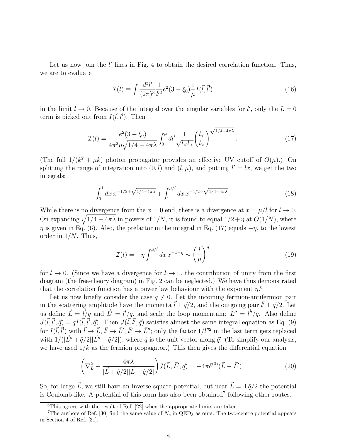Let us now join the  $l'$  lines in Fig. 4 to obtain the desired correlation function. Thus, we are to evaluate

$$
\mathcal{I}(l) \equiv \int \frac{d^3 l'}{(2\pi)^3} \frac{1}{l'^2} e^2 (3 - \xi_0) \frac{1}{\mu} I(\vec{l}, \vec{l}')
$$
(16)

in the limit  $l \to 0$ . Because of the integral over the angular variables for  $\vec{l}'$ , only the  $L = 0$ term is picked out from  $I(\vec{l}, \vec{l}')$ . Then

$$
\mathcal{I}(l) = \frac{e^2(3-\xi_0)}{4\pi^2\mu\sqrt{1/4 - 4\pi\lambda}} \int_0^\mu dl' \frac{1}{\sqrt{l_< l_>}} \left(\frac{l_<}{l_>}\right)^{\sqrt{1/4 - 4\pi\lambda}}.\tag{17}
$$

(The full  $1/(k^2 + \mu k)$  photon propagator provides an effective UV cutoff of  $O(\mu)$ .) On splitting the range of integration into  $(0, l)$  and  $(l, \mu)$ , and putting  $l' = lx$ , we get the two integrals:

$$
\int_0^1 dx \, x^{-1/2 + \sqrt{1/4 - 4\pi\lambda}} + \int_1^{\mu/l} dx \, x^{-1/2 - \sqrt{1/4 - 4\pi\lambda}}. \tag{18}
$$

While there is no divergence from the  $x = 0$  end, there is a divergence at  $x = \mu/l$  for  $l \to 0$ . On expanding  $\sqrt{1/4 - 4\pi\lambda}$  in powers of  $1/N$ , it is found to equal  $1/2 + \eta$  at  $O(1/N)$ , where  $\eta$  is given in Eq. (6). Also, the prefactor in the integral in Eq. (17) equals  $-\eta$ , to the lowest order in  $1/N$ . Thus,

$$
\mathcal{I}(l) = -\eta \int^{\mu/l} dx \, x^{-1-\eta} \sim \left(\frac{l}{\mu}\right)^{\eta} \tag{19}
$$

for  $l \to 0$ . (Since we have a divergence for  $l \to 0$ , the contribution of unity from the first diagram (the free-theory diagram) in Fig. 2 can be neglected.) We have thus demonstrated that the correlation function has a power law behaviour with the exponent  $\eta$ <sup>6</sup>

Let us now briefly consider the case  $q \neq 0$ . Let the incoming fermion-antifermion pair in the scattering amplitude have the momenta  $\vec{l} \pm \vec{q}/2$ , and the outgoing pair  $\vec{l}' \pm \vec{q}/2$ . Let us define  $\vec{L} = \vec{l}/q$  and  $\vec{L'} = \vec{l'}/q$ , and scale the loop momentum:  $\vec{L''} = \vec{l''}/q$ . Also define  $J(\vec{l}, \vec{l}', \vec{q}) = qI(\vec{l}, \vec{l}', \vec{q})$ . Then  $J(\vec{l}, \vec{l}', \vec{q})$  satisfies almost the same integral equation as Eq. (9) for  $I(\vec{l}, \vec{l}')$  with  $\vec{l} \to \vec{L}'$ ,  $\vec{l}' \to \vec{L}'$ ,  $\vec{l}'' \to \vec{L}''$ ; only the factor  $1/l''^2$  in the last term gets replaced with  $1/(|\vec{L}'' + \hat{q}/2||\vec{L}'' - \hat{q}/2|)$ , where  $\hat{q}$  is the unit vector along  $\vec{q}$ . (To simplify our analysis, we have used  $1/k$  as the fermion propagator.) This then gives the differential equation

$$
\left(\nabla_L^2 + \frac{4\pi\lambda}{|\vec{L} + \hat{q}/2||\vec{L} - \hat{q}/2|}\right) J(\vec{L}, \vec{L}', \vec{q}) = -4\pi\delta^{(3)}(\vec{L} - \vec{L}'). \tag{20}
$$

So, for large  $\vec{L}$ , we still have an inverse square potential, but near  $\vec{L} = \pm \hat{q}/2$  the potential is Coulomb-like. A potential of this form has also been obtained<sup>7</sup> following other routes.

 ${}^{6}$ This agrees with the result of Ref. [22] when the appropriate limits are taken.

<sup>&</sup>lt;sup>7</sup>The authors of Ref. [30] find the same value of  $N_c$  in QED<sub>3</sub> as ours. The two-centre potential appears in Section 4 of Ref. [31].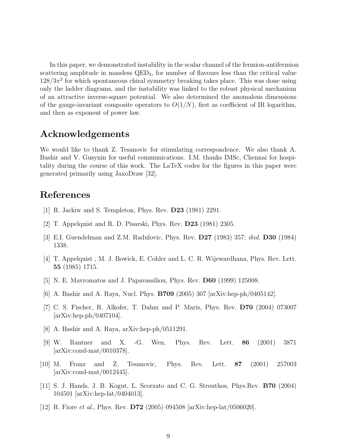In this paper, we demonstrated instability in the scalar channel of the fermion-antifermion scattering amplitude in massless  $QED_3$ , for number of flavours less than the critical value  $128/3\pi^2$  for which spontaneous chiral symmetry breaking takes place. This was done using only the ladder diagrams, and the instability was linked to the robust physical mechanism of an attractive inverse-square potential. We also determined the anomalous dimensions of the gauge-invariant composite operators to  $O(1/N)$ , first as coefficient of IR logarithm, and then as exponent of power law.

## Acknowledgements

We would like to thank Z. Tesanovic for stimulating correspondence. We also thank A. Bashir and V. Gusynin for useful communications. I.M. thanks IMSc, Chennai for hospitality during the course of this work. The LaTeX codes for the figures in this paper were generated primarily using JaxoDraw [32].

## References

- [1] R. Jackiw and S. Templeton, Phys. Rev. D23 (1981) 2291.
- [2] T. Appelquist and R. D. Pisarski, Phys. Rev. D23 (1981) 2305.
- [3] E.I. Guendelman and Z.M. Radulovic, Phys. Rev. D27 (1983) 357; ibid. D30 (1984) 1338.
- [4] T. Appelquist , M. J. Bowick, E. Cohler and L. C. R. Wijewardhana, Phys. Rev. Lett. 55 (1985) 1715.
- [5] N. E. Mavromatos and J. Papavassiliou, Phys. Rev. D60 (1999) 125008.
- [6] A. Bashir and A. Raya, Nucl. Phys. B709 (2005) 307 [arXiv:hep-ph/0405142].
- [7] C. S. Fischer, R. Alkofer, T. Dahm and P. Maris, Phys. Rev. D70 (2004) 073007  $\arXiv:hep-ph/0407104$ .
- [8] A. Bashir and A. Raya, arXiv:hep-ph/0511291.
- [9] W. Rantner and X. -G. Wen, Phys. Rev. Lett. 86 (2001) 3871 [arXiv:cond-mat/0010378].
- [10] M. Franz and Z. Tesanovic, Phys. Rev. Lett. 87 (2001) 257003 [arXiv:cond-mat/0012445].
- [11] S. J. Hands, J. B. Kogut, L. Scorzato and C. G. Strouthos, Phys.Rev. B70 (2004) 104501 [arXiv:hep-lat/0404013].
- [12] R. Fiore *et al.*, Phys. Rev. **D72** (2005) 094508  $\ar{Xiv:hep-lat/0506020}$ .